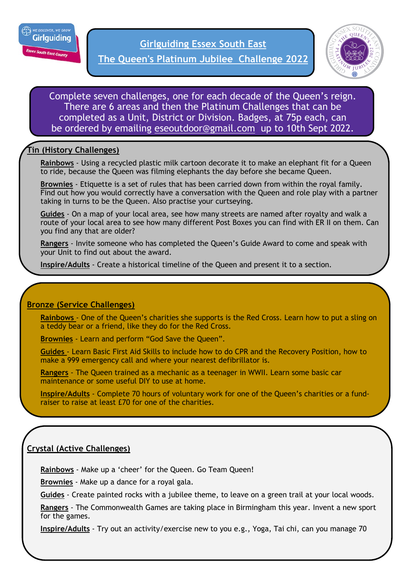

**The Queen's Platinum Jubilee Challenge 2022**



Complete seven challenges, one for each decade of the Queen's reign. There are 6 areas and then the Platinum Challenges that can be completed as a Unit, District or Division. Badges, at 75p each, can be ordered by emailing [eseoutdoor@gmail.com](mailto:eseoutdoor@gmail.com) up to 10th Sept 2022.

# **Tin (History Challenges)**

**Rainbows** - Using a recycled plastic milk cartoon decorate it to make an elephant fit for a Queen to ride, because the Queen was filming elephants the day before she became Queen.

**Brownies** - Etiquette is a set of rules that has been carried down from within the royal family. Find out how you would correctly have a conversation with the Queen and role play with a partner taking in turns to be the Queen. Also practise your curtseying.

**Guides** - On a map of your local area, see how many streets are named after royalty and walk a route of your local area to see how many different Post Boxes you can find with ER II on them. Can you find any that are older?

**Rangers** - Invite someone who has completed the Queen's Guide Award to come and speak with your Unit to find out about the award.

**Inspire/Adults** - Create a historical timeline of the Queen and present it to a section.

## **Bronze (Service Challenges)**

**Rainbows** - One of the Queen's charities she supports is the Red Cross. Learn how to put a sling on a teddy bear or a friend, like they do for the Red Cross.

**Brownies** - Learn and perform "God Save the Queen".

**Guides** - Learn Basic First Aid Skills to include how to do CPR and the Recovery Position, how to make a 999 emergency call and where your nearest defibrillator is.

**Rangers** - The Queen trained as a mechanic as a teenager in WWII. Learn some basic car maintenance or some useful DIY to use at home.

**Inspire/Adults** - Complete 70 hours of voluntary work for one of the Queen's charities or a fundraiser to raise at least £70 for one of the charities.

## **Crystal (Active Challenges)**

**Rainbows** - Make up a 'cheer' for the Queen. Go Team Queen!

**Brownies** - Make up a dance for a royal gala.

**Guides** - Create painted rocks with a jubilee theme, to leave on a green trail at your local woods.

**Rangers** - The Commonwealth Games are taking place in Birmingham this year. Invent a new sport for the games.

**Inspire/Adults** - Try out an activity/exercise new to you e.g., Yoga, Tai chi, can you manage 70